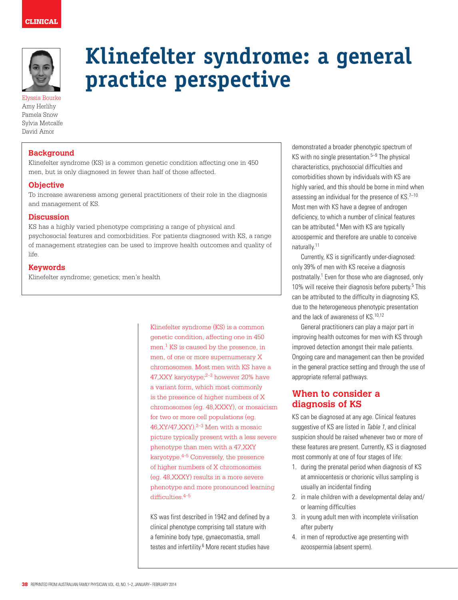

Elyssia Bourke Amy Herlihy Pamela Snow Sylvia Metcalfe David Amor

## **Background**

Klinefelter syndrome (KS) is a common genetic condition affecting one in 450 men, but is only diagnosed in fewer than half of those affected.

**practice perspective**

### **Objective**

To increase awareness among general practitioners of their role in the diagnosis and management of KS.

### **Discussion**

KS has a highly varied phenotype comprising a range of physical and psychosocial features and comorbidities. For patients diagnosed with KS, a range of management strategies can be used to improve health outcomes and quality of life.

#### **Keywords**

Klinefelter syndrome; genetics; men's health

Klinefelter syndrome (KS) is a common genetic condition, affecting one in 450 men.1 KS is caused by the presence, in men, of one or more supernumerary X chromosomes. Most men with KS have a 47, XXY karyotype; <sup>2-3</sup> however 20% have a variant form, which most commonly is the presence of higher numbers of X chromosomes (eg. 48,XXXY), or mosaicism for two or more cell populations (eg.  $46, XY/47, XXY).^{2-3}$  Men with a mosaic picture typically present with a less severe phenotype than men with a 47,XXY karyotype.4–5 Conversely, the presence of higher numbers of X chromosomes (eg. 48,XXXY) results in a more severe phenotype and more pronounced learning difficulties  $4-5$ 

**Klinefelter syndrome: a general** 

KS was first described in 1942 and defined by a clinical phenotype comprising tall stature with a feminine body type, gynaecomastia, small testes and infertility.<sup>6</sup> More recent studies have

demonstrated a broader phenotypic spectrum of KS with no single presentation. $5-9$  The physical characteristics, psychosocial difficulties and comorbidities shown by individuals with KS are highly varied, and this should be borne in mind when assessing an individual for the presence of  $KS$ .<sup>7-10</sup> Most men with KS have a degree of androgen deficiency, to which a number of clinical features can be attributed.<sup>4</sup> Men with KS are typically azoospermic and therefore are unable to conceive naturally.11

Currently, KS is significantly under-diagnosed: only 39% of men with KS receive a diagnosis postnatally.<sup>1</sup> Even for those who are diagnosed, only 10% will receive their diagnosis before puberty.<sup>5</sup> This can be attributed to the difficulty in diagnosing KS, due to the heterogeneous phenotypic presentation and the lack of awareness of KS.10,12

General practitioners can play a major part in improving health outcomes for men with KS through improved detection amongst their male patients. Ongoing care and management can then be provided in the general practice setting and through the use of appropriate referral pathways.

## **When to consider a diagnosis of KS**

KS can be diagnosed at any age. Clinical features suggestive of KS are listed in Table 1, and clinical suspicion should be raised whenever two or more of these features are present. Currently, KS is diagnosed most commonly at one of four stages of life:

- 1. during the prenatal period when diagnosis of KS at amniocentesis or chorionic villus sampling is usually an incidental finding
- 2. in male children with a developmental delay and/ or learning difficulties
- 3. in young adult men with incomplete virilisation after puberty
- 4. in men of reproductive age presenting with azoospermia (absent sperm).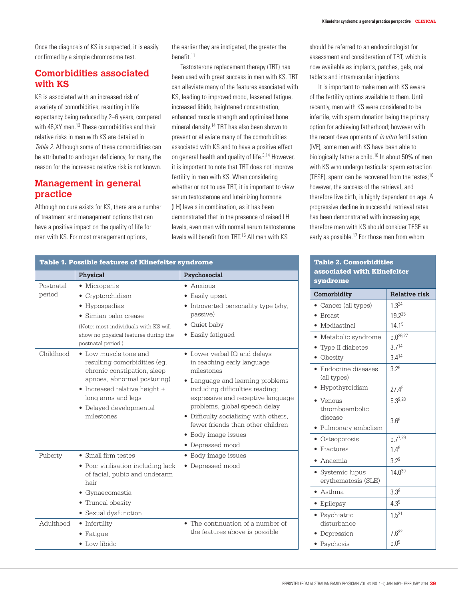Once the diagnosis of KS is suspected, it is easily confirmed by a simple chromosome test.

# **Comorbidities associated with KS**

KS is associated with an increased risk of a variety of comorbidities, resulting in life expectancy being reduced by 2–6 years, compared with 46.XY men.<sup>13</sup> These comorbidities and their relative risks in men with KS are detailed in Table 2. Although some of these comorbidities can be attributed to androgen deficiency, for many, the reason for the increased relative risk is not known.

# **Management in general practice**

Although no cure exists for KS, there are a number of treatment and management options that can have a positive impact on the quality of life for men with KS. For most management options,

the earlier they are instigated, the greater the benefit.11

Testosterone replacement therapy (TRT) has been used with great success in men with KS. TRT can alleviate many of the features associated with KS, leading to improved mood, lessened fatigue, increased libido, heightened concentration, enhanced muscle strength and optimised bone mineral density.14 TRT has also been shown to prevent or alleviate many of the comorbidities associated with KS and to have a positive effect on general health and quality of life.<sup>3,14</sup> However, it is important to note that TRT does not improve fertility in men with KS. When considering whether or not to use TRT, it is important to view serum testosterone and luteinizing hormone (LH) levels in combination, as it has been demonstrated that in the presence of raised LH levels, even men with normal serum testosterone levels will benefit from TRT.<sup>15</sup> All men with KS

should be referred to an endocrinologist for assessment and consideration of TRT, which is now available as implants, patches, gels, oral tablets and intramuscular injections.

It is important to make men with KS aware of the fertility options available to them. Until recently, men with KS were considered to be infertile, with sperm donation being the primary option for achieving fatherhood; however with the recent developments of *in vitro* fertilisation (IVF), some men with KS have been able to biologically father a child.<sup>16</sup> In about 50% of men with KS who undergo testicular sperm extraction (TESE), sperm can be recovered from the testes;16 however, the success of the retrieval, and therefore live birth, is highly dependent on age. A progressive decline in successful retrieval rates has been demonstrated with increasing age; therefore men with KS should consider TESE as early as possible.<sup>17</sup> For those men from whom

### Table 2. Comorbidities associated with Klinefelter syndrome

| Comorbidity                                   | <b>Relative risk</b> |  |  |
|-----------------------------------------------|----------------------|--|--|
| Cancer (all types)                            | $1.3^{24}$           |  |  |
| • Breast                                      | 19.225               |  |  |
| · Mediastinal                                 | 14.1 <sup>9</sup>    |  |  |
| • Metabolic syndrome                          | $50^{26,27}$         |  |  |
| • Type II diabetes                            | 3.714                |  |  |
| • Obesity                                     | 3.414                |  |  |
| • Endocrine diseases<br>(all types)           | 379                  |  |  |
| • Hypothyroidism                              | 27.49                |  |  |
| $\bullet$ Venous<br>thromboembolic<br>disease | 5.39,28              |  |  |
| • Pulmonary embolism                          | 36 <sup>9</sup>      |  |  |
| Osteoporosis                                  | $5.7^{7,29}$         |  |  |
| Fractures                                     | $1.4^{9}$            |  |  |
| • Anaemia                                     | $3.2^{9}$            |  |  |
| • Systemic lupus<br>erythematosis (SLE)       | $14.0^{30}$          |  |  |
| $\bullet$ Asthma                              | $3.3^{9}$            |  |  |
| • Epilepsy                                    | $4.3^{9}$            |  |  |
| · Psychiatric<br>disturbance                  | $1.5^{31}$           |  |  |
| Depression                                    | $7.6^{32}$           |  |  |
| Psychosis                                     | 5.0 <sup>9</sup>     |  |  |

| <b>Table 1. Possible features of Klinefelter syndrome</b> |                                                                                                                                                                                                                                 |                                                                                                                                                                                                                                                                                                                                                           |
|-----------------------------------------------------------|---------------------------------------------------------------------------------------------------------------------------------------------------------------------------------------------------------------------------------|-----------------------------------------------------------------------------------------------------------------------------------------------------------------------------------------------------------------------------------------------------------------------------------------------------------------------------------------------------------|
|                                                           | Physical                                                                                                                                                                                                                        | Psychosocial                                                                                                                                                                                                                                                                                                                                              |
| Postnatal<br>period                                       | • Micropenis<br>Cryptorchidism<br>• Hypospadias<br>Simian palm crease<br>٠<br>(Note: most individuals with KS will<br>show no physical features during the<br>postnatal period.)                                                | Anxious<br>$\bullet$<br>Easily upset<br>٠<br>• Introverted personality type (shy,<br>passive)<br>• Quiet baby<br>• Easily fatigued                                                                                                                                                                                                                        |
| Childhood                                                 | • Low muscle tone and<br>resulting comorbidities (eq.<br>chronic constipation, sleep<br>apnoea, abnormal posturing)<br>$\bullet$ Increased relative height $\pm$<br>long arms and legs<br>• Delayed developmental<br>milestones | • Lower verbal IQ and delays<br>in reaching early language<br>milestones<br>Language and learning problems<br>$\bullet$<br>including difficulties reading;<br>expressive and receptive language<br>problems, global speech delay<br>• Difficulty socialising with others,<br>fewer friends than other children<br>• Body image issues<br>• Depressed mood |
| Puberty                                                   | • Small firm testes<br>• Poor virilisation including lack<br>of facial, pubic and underarm<br>hair<br>• Gynaecomastia<br>• Truncal obesity<br>• Sexual dysfunction                                                              | • Body image issues<br>• Depressed mood                                                                                                                                                                                                                                                                                                                   |
| Adulthood                                                 | • Infertility<br>• Fatigue<br>• Low libido                                                                                                                                                                                      | • The continuation of a number of<br>the features above is possible                                                                                                                                                                                                                                                                                       |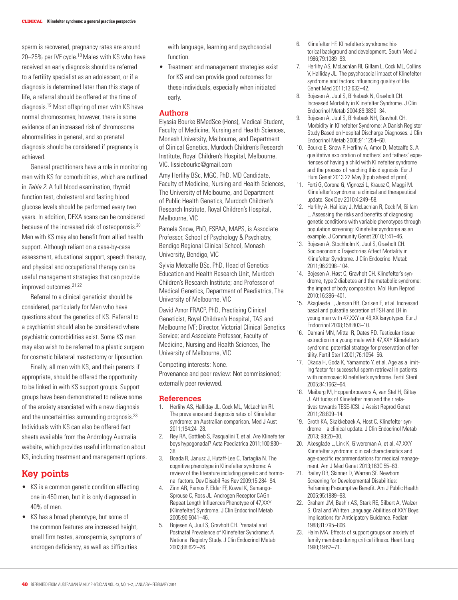sperm is recovered, pregnancy rates are around 20–25% per IVF cycle.18 Males with KS who have received an early diagnosis should be referred to a fertility specialist as an adolescent, or if a diagnosis is determined later than this stage of life, a referral should be offered at the time of diagnosis.19 Most offspring of men with KS have normal chromosomes; however, there is some evidence of an increased risk of chromosome abnormalities in general, and so prenatal diagnosis should be considered if pregnancy is achieved.

General practitioners have a role in monitoring men with KS for comorbidities, which are outlined in Table 2. A full blood examination, thyroid function test, cholesterol and fasting blood glucose levels should be performed every two years. In addition, DEXA scans can be considered because of the increased risk of osteoporosis.20 Men with KS may also benefit from allied health support. Although reliant on a case-by-case assessment, educational support, speech therapy, and physical and occupational therapy can be useful management strategies that can provide improved outcomes.<sup>21,22</sup>

Referral to a clinical geneticist should be considered, particularly for Men who have questions about the genetics of KS. Referral to a psychiatrist should also be considered where psychiatric comorbidities exist. Some KS men may also wish to be referred to a plastic surgeon for cosmetic bilateral mastectomy or liposuction.

Finally, all men with KS, and their parents if appropriate, should be offered the opportunity to be linked in with KS support groups. Support groups have been demonstrated to relieve some of the anxiety associated with a new diagnosis and the uncertainties surrounding prognosis.23 Individuals with KS can also be offered fact sheets available from the Andrology Australia website, which provides useful information about KS, including treatment and management options.

## **Key points**

- • KS is a common genetic condition affecting one in 450 men, but it is only diagnosed in 40% of men.
- • KS has a broad phenotype, but some of the common features are increased height, small firm testes, azoospermia, symptoms of androgen deficiency, as well as difficulties

with language, learning and psychosocial function.

• Treatment and management strategies exist for KS and can provide good outcomes for these individuals, especially when initiated early.

#### **Authors**

Elyssia Bourke BMedSce (Hons), Medical Student, Faculty of Medicine, Nursing and Health Sciences, Monash University, Melbourne, and Department of Clinical Genetics, Murdoch Children's Research Institute, Royal Children's Hospital, Melbourne, VIC. lissiebourke@gmail.com

Amy Herlihy BSc, MGC, PhD, MD Candidate, Faculty of Medicine, Nursing and Health Sciences, The University of Melbourne, and Department of Public Health Genetics, Murdoch Children's Research Institute, Royal Children's Hospital, Melbourne, VIC

Pamela Snow, PhD, FSPAA, MAPS, is Associate Professor, School of Psychology & Psychiatry, Bendigo Regional Clinical School, Monash University, Bendigo, VIC

Sylvia Metcalfe BSc, PhD, Head of Genetics Education and Health Research Unit, Murdoch Children's Research Institute; and Professor of Medical Genetics, Department of Paediatrics, The University of Melbourne, VIC

David Amor FRACP, PhD, Practising Clinical Geneticist, Royal Children's Hospital, TAS and Melbourne IVF; Director, Victorial Clinical Genetics Service; and Associate Professor, Faculty of Medicine, Nursing and Health Sciences, The University of Melbourne, VIC

Competing interests: None.

Provenance and peer review: Not commissioned; externally peer reviewed.

#### **References**

- 1. Herlihy AS, Halliday JL, Cock ML, McLachlan RI. The prevalence and diagnosis rates of Klinefelter syndrome: an Australian comparison. Med J Aust 2011;194:24–28.
- 2. Rey RA, Gottlieb S, Pasqualini T, et al. Are Klinefelter boys hypogonadal? Acta Paediatrica 2011;100:830– 38.
- 3. Boada R, Janusz J, Hutaff-Lee C, Tartaglia N. The cognitive phenotype in Klinefelter syndrome: A review of the literature including genetic and hormonal factors. Dev Disabil Res Rev 2009;15:284–94.
- 4. Zinn AR, Ramos P, Elder FF, Kowal K, Samango-Sprouse C, Ross JL. Androgen Receptor CAGn Repeat Length Influences Phenotype of 47,XXY (Klinefelter) Syndrome. J Clin Endocrinol Metab 2005;90:5041–46.
- 5. Bojesen A, Juul S, Gravholt CH. Prenatal and Postnatal Prevalence of Klinefelter Syndrome: A National Registry Study. J Clin Endocrinol Metab 2003;88:622–26.
- 6. Klinefelter HF. Klinefelter's syndrome: historical background and development. South Med J 1986;79:1089–93.
- 7. Herlihy AS, McLachlan RI, Gillam L, Cock ML, Collins V, Halliday JL. The psychosocial impact of Klinefelter syndrome and factors influencing quality of life. Genet Med 2011;13:632–42.
- 8. Bojesen A, Juul S, Birkebæk N, Gravholt CH. Increased Mortality in Klinefelter Syndrome. J Clin Endocrinol Metab 2004;89:3830–34.
- 9. Bojesen A, Juul S, Birkebæk NH, Gravholt CH. Morbidity in Klinefelter Syndrome: A Danish Register Study Based on Hospital Discharge Diagnoses. J Clin Endocrinol Metab 2006;91:1254–60.
- 10. Bourke E, Snow P, Herlihy A, Amor D, Metcalfe S. A qualitative exploration of mothers' and fathers' experiences of having a child with Klinefelter syndrome and the process of reaching this diagnosis. Eur J Hum Genet 2013 22 May [Epub ahead of print].
- 11. Forti G, Corona G, Vignozzi L, Krausz C, Maggi M. Klinefelter's syndrome: a clinical and therapeutical update. Sex Dev 2010;4:249–58.
- 12. Herlihy A, Halliday J, McLachlan R, Cock M, Gillam L. Assessing the risks and benefits of diagnosing genetic conditions with variable phenotypes through population screening: Klinefelter syndrome as an example. J Community Genet 2010;1:41–46.
- 13. Bojesen A, Stochholm K, Juul S, Gravholt CH. Socioeconomic Trajectories Affect Mortality in Klinefelter Syndrome. J Clin Endocrinol Metab 2011;96:2098–104.
- 14. Bojesen A, Høst C, Gravholt CH. Klinefelter's syndrome, type 2 diabetes and the metabolic syndrome: the impact of body composition. Mol Hum Reprod 2010;16:396–401.
- 15. Aksglaede L, Jensen RB, Carlsen E, et al. Increased basal and pulsatile secretion of FSH and LH in young men with 47,XXY or 46,XX karyotypes. Eur J Endocrinol 2008;158:803–10.
- 16. Damani MN, Mittal R, Oates RD. Testicular tissue extraction in a young male with 47,XXY Klinefelter's syndrome: potential strategy for preservation of fertility. Fertil Steril 2001;76:1054–56.
- 17. Okada H, Goda K, Yamamoto Y, et al. Age as a limiting factor for successful sperm retrieval in patients with nonmosaic Klinefelter's syndrome. Fertil Steril 2005;84:1662–64.
- 18. Maiburg M, Hoppenbrouwers A, van Stel H, Giltay J. Attitudes of Klinefelter men and their relatives towards TESE-ICSI. J Assist Reprod Genet 2011;28:809–14.
- 19. Groth KA, Skakkebaek A, Host C. Klinefelter syndrome – a clinical update. J Clin Endocrinol Metab 2013; 98:20–30.
- 20. Akesglade L, Link K, Giwercman A, et al. 47,XXY Klinefelter syndrome: clinical characteristics and age-specific recommendations for medical management. Am J Med Genet 2013;163C:55–63.
- 21. Bailey DB, Skinner D, Warren SF. Newborn Screening for Developmental Disabilities: Reframing Presumptive Benefit. Am J Public Health 2005;95:1889–93.
- 22. Graham JM, Bashir AS, Stark RE, Silbert A, Walzer S. Oral and Written Language Abilities of XXY Boys: Implications for Anticipatory Guidance. Pediatr 1988;81:795–806.
- 23. Halm MA. Effects of support groups on anxiety of family members during critical illness. Heart Lung 1990;19:62–71.